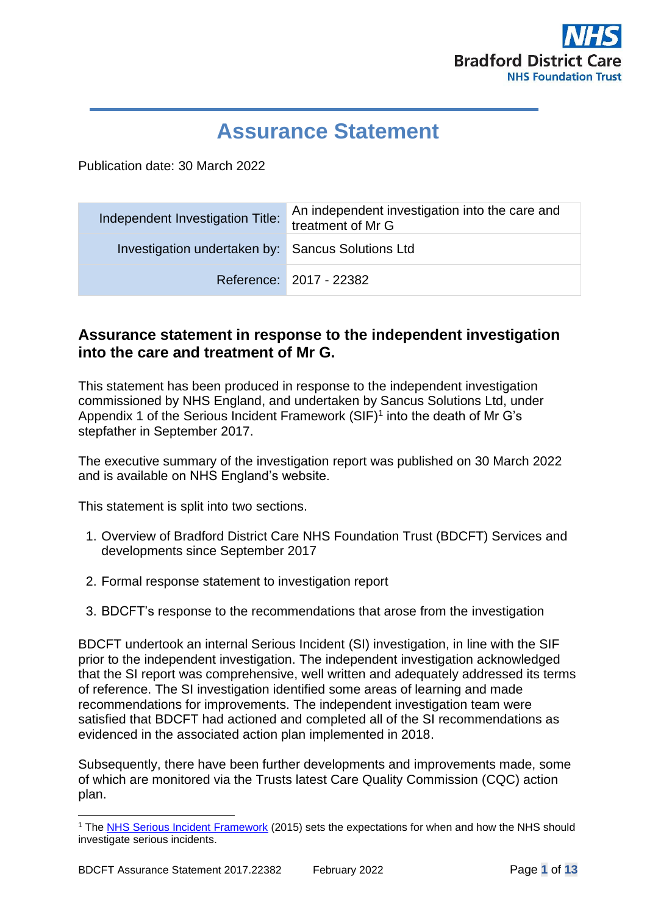

# **Assurance Statement**

Publication date: 30 March 2022

| Independent Investigation Title:                  | An independent investigation into the care and<br>treatment of Mr G |  |
|---------------------------------------------------|---------------------------------------------------------------------|--|
| Investigation undertaken by: Sancus Solutions Ltd |                                                                     |  |
|                                                   | Reference: 2017 - 22382                                             |  |

# **Assurance statement in response to the independent investigation into the care and treatment of Mr G.**

This statement has been produced in response to the independent investigation commissioned by NHS England, and undertaken by Sancus Solutions Ltd, under Appendix 1 of the Serious Incident Framework  $(SIF)^1$  into the death of Mr G's stepfather in September 2017.

The executive summary of the investigation report was published on 30 March 2022 and is available on NHS England's website.

This statement is split into two sections.

- 1. Overview of Bradford District Care NHS Foundation Trust (BDCFT) Services and developments since September 2017
- 2. Formal response statement to investigation report
- 3. BDCFT's response to the recommendations that arose from the investigation

BDCFT undertook an internal Serious Incident (SI) investigation, in line with the SIF prior to the independent investigation. The independent investigation acknowledged that the SI report was comprehensive, well written and adequately addressed its terms of reference. The SI investigation identified some areas of learning and made recommendations for improvements. The independent investigation team were satisfied that BDCFT had actioned and completed all of the SI recommendations as evidenced in the associated action plan implemented in 2018.

Subsequently, there have been further developments and improvements made, some of which are monitored via the Trusts latest Care Quality Commission (CQC) action plan.

<sup>1</sup> The [NHS Serious Incident Framework](https://www.england.nhs.uk/wp-content/uploads/2020/08/serious-incidnt-framwrk.pdf) (2015) sets the expectations for when and how the NHS should investigate serious incidents.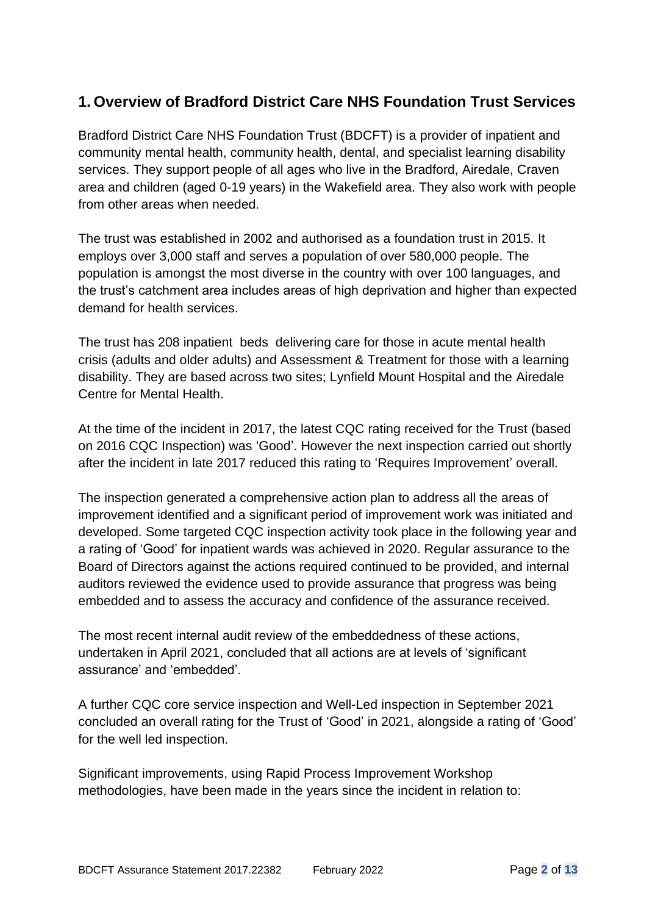# **1. Overview of Bradford District Care NHS Foundation Trust Services**

Bradford District Care NHS Foundation Trust (BDCFT) is a provider of inpatient and community mental health, community health, dental, and specialist learning disability services. They support people of all ages who live in the Bradford, Airedale, Craven area and children (aged 0-19 years) in the Wakefield area. They also work with people from other areas when needed.

The trust was established in 2002 and authorised as a foundation trust in 2015. It employs over 3,000 staff and serves a population of over 580,000 people. The population is amongst the most diverse in the country with over 100 languages, and the trust's catchment area includes areas of high deprivation and higher than expected demand for health services.

The trust has 208 inpatient beds delivering care for those in acute mental health crisis (adults and older adults) and Assessment & Treatment for those with a learning disability. They are based across two sites; Lynfield Mount Hospital and the Airedale Centre for Mental Health.

At the time of the incident in 2017, the latest CQC rating received for the Trust (based on 2016 CQC Inspection) was 'Good'. However the next inspection carried out shortly after the incident in late 2017 reduced this rating to 'Requires Improvement' overall.

The inspection generated a comprehensive action plan to address all the areas of improvement identified and a significant period of improvement work was initiated and developed. Some targeted CQC inspection activity took place in the following year and a rating of 'Good' for inpatient wards was achieved in 2020. Regular assurance to the Board of Directors against the actions required continued to be provided, and internal auditors reviewed the evidence used to provide assurance that progress was being embedded and to assess the accuracy and confidence of the assurance received.

The most recent internal audit review of the embeddedness of these actions, undertaken in April 2021, concluded that all actions are at levels of 'significant assurance' and 'embedded'.

A further CQC core service inspection and Well-Led inspection in September 2021 concluded an overall rating for the Trust of 'Good' in 2021, alongside a rating of 'Good' for the well led inspection.

Significant improvements, using Rapid Process Improvement Workshop methodologies, have been made in the years since the incident in relation to: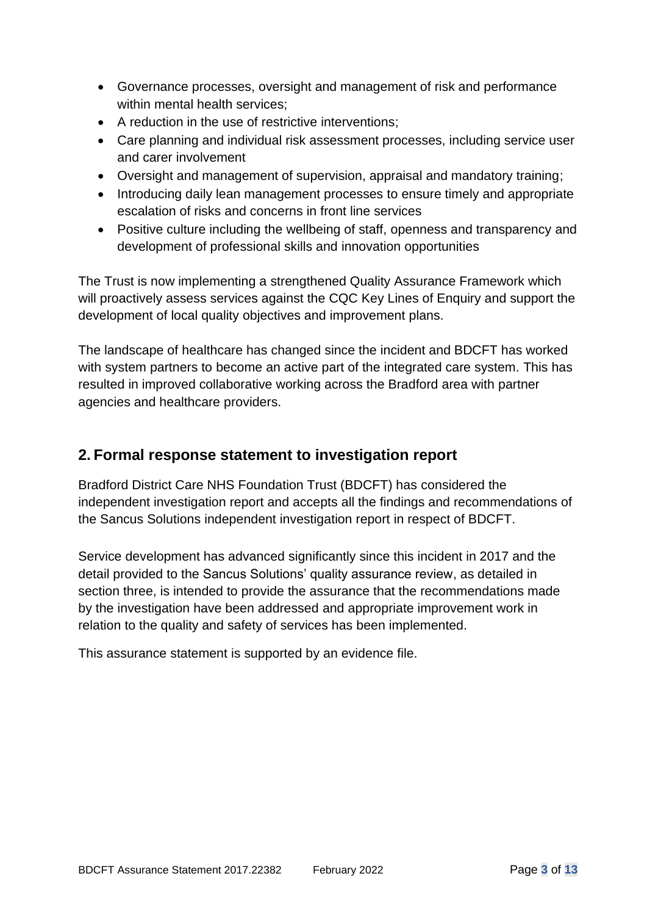- Governance processes, oversight and management of risk and performance within mental health services;
- A reduction in the use of restrictive interventions;
- Care planning and individual risk assessment processes, including service user and carer involvement
- Oversight and management of supervision, appraisal and mandatory training;
- Introducing daily lean management processes to ensure timely and appropriate escalation of risks and concerns in front line services
- Positive culture including the wellbeing of staff, openness and transparency and development of professional skills and innovation opportunities

The Trust is now implementing a strengthened Quality Assurance Framework which will proactively assess services against the CQC Key Lines of Enquiry and support the development of local quality objectives and improvement plans.

The landscape of healthcare has changed since the incident and BDCFT has worked with system partners to become an active part of the integrated care system. This has resulted in improved collaborative working across the Bradford area with partner agencies and healthcare providers.

# **2. Formal response statement to investigation report**

Bradford District Care NHS Foundation Trust (BDCFT) has considered the independent investigation report and accepts all the findings and recommendations of the Sancus Solutions independent investigation report in respect of BDCFT.

Service development has advanced significantly since this incident in 2017 and the detail provided to the Sancus Solutions' quality assurance review, as detailed in section three, is intended to provide the assurance that the recommendations made by the investigation have been addressed and appropriate improvement work in relation to the quality and safety of services has been implemented.

This assurance statement is supported by an evidence file.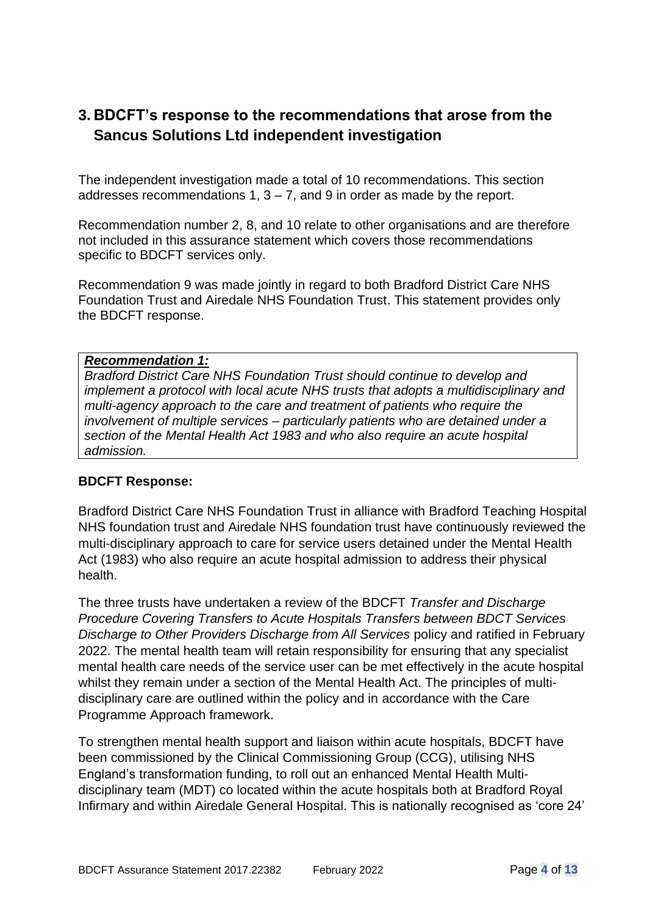# **3. BDCFT's response to the recommendations that arose from the Sancus Solutions Ltd independent investigation**

The independent investigation made a total of 10 recommendations. This section addresses recommendations  $1, 3 - 7$ , and  $9$  in order as made by the report.

Recommendation number 2, 8, and 10 relate to other organisations and are therefore not included in this assurance statement which covers those recommendations specific to BDCFT services only.

Recommendation 9 was made jointly in regard to both Bradford District Care NHS Foundation Trust and Airedale NHS Foundation Trust. This statement provides only the BDCFT response.

#### *Recommendation 1:*

*Bradford District Care NHS Foundation Trust should continue to develop and implement a protocol with local acute NHS trusts that adopts a multidisciplinary and multi-agency approach to the care and treatment of patients who require the involvement of multiple services – particularly patients who are detained under a section of the Mental Health Act 1983 and who also require an acute hospital admission.* 

#### **BDCFT Response:**

Bradford District Care NHS Foundation Trust in alliance with Bradford Teaching Hospital NHS foundation trust and Airedale NHS foundation trust have continuously reviewed the multi-disciplinary approach to care for service users detained under the Mental Health Act (1983) who also require an acute hospital admission to address their physical health.

The three trusts have undertaken a review of the BDCFT *Transfer and Discharge Procedure Covering Transfers to Acute Hospitals Transfers between BDCT Services Discharge to Other Providers Discharge from All Services* policy and ratified in February 2022. The mental health team will retain responsibility for ensuring that any specialist mental health care needs of the service user can be met effectively in the acute hospital whilst they remain under a section of the Mental Health Act. The principles of multidisciplinary care are outlined within the policy and in accordance with the Care Programme Approach framework.

To strengthen mental health support and liaison within acute hospitals, BDCFT have been commissioned by the Clinical Commissioning Group (CCG), utilising NHS England's transformation funding, to roll out an enhanced Mental Health Multidisciplinary team (MDT) co located within the acute hospitals both at Bradford Royal Infirmary and within Airedale General Hospital. This is nationally recognised as 'core 24'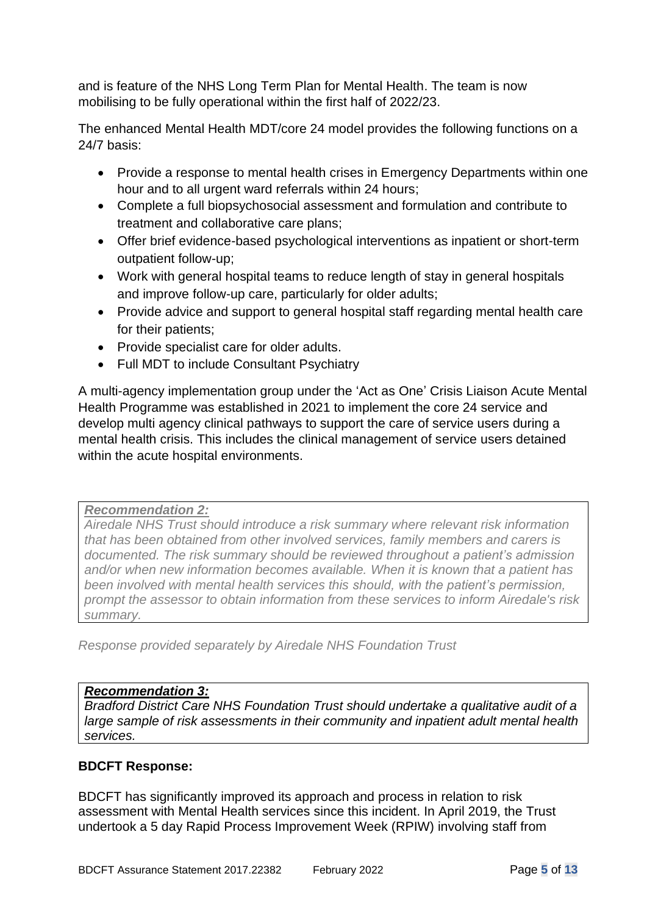and is feature of the NHS Long Term Plan for Mental Health. The team is now mobilising to be fully operational within the first half of 2022/23.

The enhanced Mental Health MDT/core 24 model provides the following functions on a 24/7 basis:

- Provide a response to mental health crises in Emergency Departments within one hour and to all urgent ward referrals within 24 hours:
- Complete a full biopsychosocial assessment and formulation and contribute to treatment and collaborative care plans;
- Offer brief evidence-based psychological interventions as inpatient or short-term outpatient follow-up;
- Work with general hospital teams to reduce length of stay in general hospitals and improve follow-up care, particularly for older adults;
- Provide advice and support to general hospital staff regarding mental health care for their patients;
- Provide specialist care for older adults.
- Full MDT to include Consultant Psychiatry

A multi-agency implementation group under the 'Act as One' Crisis Liaison Acute Mental Health Programme was established in 2021 to implement the core 24 service and develop multi agency clinical pathways to support the care of service users during a mental health crisis. This includes the clinical management of service users detained within the acute hospital environments.

#### *Recommendation 2:*

*Airedale NHS Trust should introduce a risk summary where relevant risk information that has been obtained from other involved services, family members and carers is documented. The risk summary should be reviewed throughout a patient's admission and/or when new information becomes available. When it is known that a patient has been involved with mental health services this should, with the patient's permission, prompt the assessor to obtain information from these services to inform Airedale's risk summary.*

*Response provided separately by Airedale NHS Foundation Trust*

# *Recommendation 3:*

*Bradford District Care NHS Foundation Trust should undertake a qualitative audit of a large sample of risk assessments in their community and inpatient adult mental health services.* 

#### **BDCFT Response:**

BDCFT has significantly improved its approach and process in relation to risk assessment with Mental Health services since this incident. In April 2019, the Trust undertook a 5 day Rapid Process Improvement Week (RPIW) involving staff from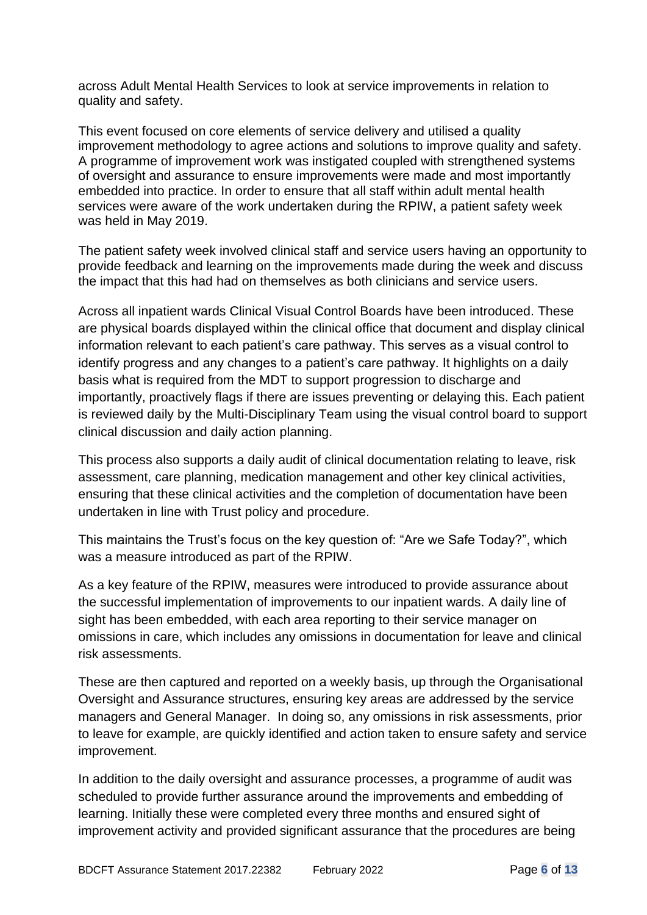across Adult Mental Health Services to look at service improvements in relation to quality and safety.

This event focused on core elements of service delivery and utilised a quality improvement methodology to agree actions and solutions to improve quality and safety. A programme of improvement work was instigated coupled with strengthened systems of oversight and assurance to ensure improvements were made and most importantly embedded into practice. In order to ensure that all staff within adult mental health services were aware of the work undertaken during the RPIW, a patient safety week was held in May 2019.

The patient safety week involved clinical staff and service users having an opportunity to provide feedback and learning on the improvements made during the week and discuss the impact that this had had on themselves as both clinicians and service users.

Across all inpatient wards Clinical Visual Control Boards have been introduced. These are physical boards displayed within the clinical office that document and display clinical information relevant to each patient's care pathway. This serves as a visual control to identify progress and any changes to a patient's care pathway. It highlights on a daily basis what is required from the MDT to support progression to discharge and importantly, proactively flags if there are issues preventing or delaying this. Each patient is reviewed daily by the Multi-Disciplinary Team using the visual control board to support clinical discussion and daily action planning.

This process also supports a daily audit of clinical documentation relating to leave, risk assessment, care planning, medication management and other key clinical activities, ensuring that these clinical activities and the completion of documentation have been undertaken in line with Trust policy and procedure.

This maintains the Trust's focus on the key question of: "Are we Safe Today?", which was a measure introduced as part of the RPIW.

As a key feature of the RPIW, measures were introduced to provide assurance about the successful implementation of improvements to our inpatient wards. A daily line of sight has been embedded, with each area reporting to their service manager on omissions in care, which includes any omissions in documentation for leave and clinical risk assessments.

These are then captured and reported on a weekly basis, up through the Organisational Oversight and Assurance structures, ensuring key areas are addressed by the service managers and General Manager. In doing so, any omissions in risk assessments, prior to leave for example, are quickly identified and action taken to ensure safety and service improvement.

In addition to the daily oversight and assurance processes, a programme of audit was scheduled to provide further assurance around the improvements and embedding of learning. Initially these were completed every three months and ensured sight of improvement activity and provided significant assurance that the procedures are being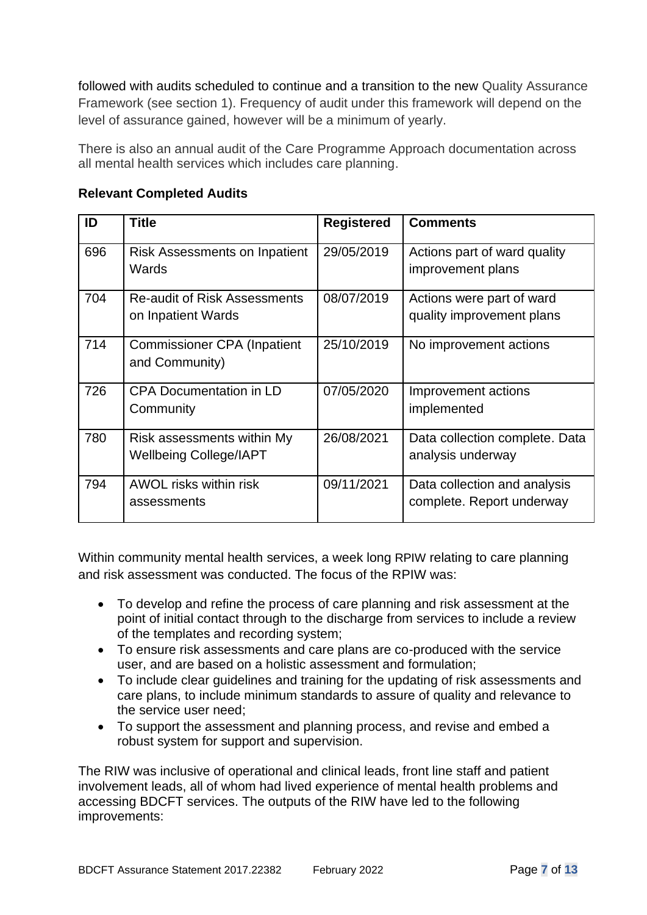followed with audits scheduled to continue and a transition to the new Quality Assurance Framework (see section 1). Frequency of audit under this framework will depend on the level of assurance gained, however will be a minimum of yearly.

There is also an annual audit of the Care Programme Approach documentation across all mental health services which includes care planning.

| ID  | <b>Title</b>                                                | <b>Registered</b> | <b>Comments</b>                                           |
|-----|-------------------------------------------------------------|-------------------|-----------------------------------------------------------|
| 696 | Risk Assessments on Inpatient<br>Wards                      | 29/05/2019        | Actions part of ward quality<br>improvement plans         |
| 704 | <b>Re-audit of Risk Assessments</b><br>on Inpatient Wards   | 08/07/2019        | Actions were part of ward<br>quality improvement plans    |
| 714 | <b>Commissioner CPA (Inpatient</b><br>and Community)        | 25/10/2019        | No improvement actions                                    |
| 726 | <b>CPA Documentation in LD</b><br>Community                 | 07/05/2020        | Improvement actions<br>implemented                        |
| 780 | Risk assessments within My<br><b>Wellbeing College/IAPT</b> | 26/08/2021        | Data collection complete. Data<br>analysis underway       |
| 794 | AWOL risks within risk<br>assessments                       | 09/11/2021        | Data collection and analysis<br>complete. Report underway |

### **Relevant Completed Audits**

Within community mental health services, a week long RPIW relating to care planning and risk assessment was conducted. The focus of the RPIW was:

- To develop and refine the process of care planning and risk assessment at the point of initial contact through to the discharge from services to include a review of the templates and recording system;
- To ensure risk assessments and care plans are co-produced with the service user, and are based on a holistic assessment and formulation;
- To include clear guidelines and training for the updating of risk assessments and care plans, to include minimum standards to assure of quality and relevance to the service user need;
- To support the assessment and planning process, and revise and embed a robust system for support and supervision.

The RIW was inclusive of operational and clinical leads, front line staff and patient involvement leads, all of whom had lived experience of mental health problems and accessing BDCFT services. The outputs of the RIW have led to the following improvements: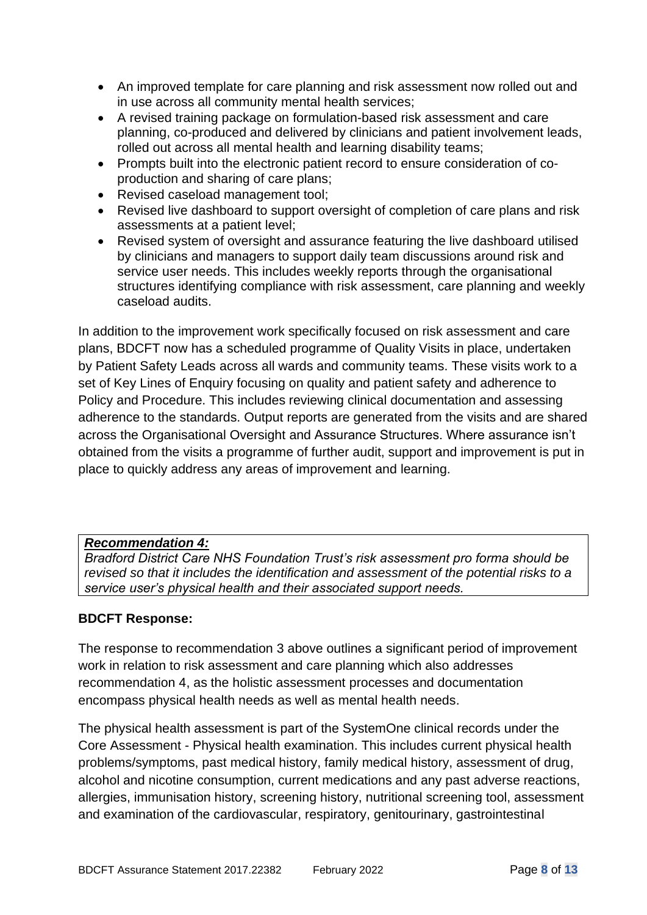- An improved template for care planning and risk assessment now rolled out and in use across all community mental health services;
- A revised training package on formulation-based risk assessment and care planning, co-produced and delivered by clinicians and patient involvement leads, rolled out across all mental health and learning disability teams;
- Prompts built into the electronic patient record to ensure consideration of coproduction and sharing of care plans;
- Revised caseload management tool;
- Revised live dashboard to support oversight of completion of care plans and risk assessments at a patient level;
- Revised system of oversight and assurance featuring the live dashboard utilised by clinicians and managers to support daily team discussions around risk and service user needs. This includes weekly reports through the organisational structures identifying compliance with risk assessment, care planning and weekly caseload audits.

In addition to the improvement work specifically focused on risk assessment and care plans, BDCFT now has a scheduled programme of Quality Visits in place, undertaken by Patient Safety Leads across all wards and community teams. These visits work to a set of Key Lines of Enquiry focusing on quality and patient safety and adherence to Policy and Procedure. This includes reviewing clinical documentation and assessing adherence to the standards. Output reports are generated from the visits and are shared across the Organisational Oversight and Assurance Structures. Where assurance isn't obtained from the visits a programme of further audit, support and improvement is put in place to quickly address any areas of improvement and learning.

# *Recommendation 4:*

*Bradford District Care NHS Foundation Trust's risk assessment pro forma should be revised so that it includes the identification and assessment of the potential risks to a service user's physical health and their associated support needs.*

#### **BDCFT Response:**

The response to recommendation 3 above outlines a significant period of improvement work in relation to risk assessment and care planning which also addresses recommendation 4, as the holistic assessment processes and documentation encompass physical health needs as well as mental health needs.

The physical health assessment is part of the SystemOne clinical records under the Core Assessment - Physical health examination. This includes current physical health problems/symptoms, past medical history, family medical history, assessment of drug, alcohol and nicotine consumption, current medications and any past adverse reactions, allergies, immunisation history, screening history, nutritional screening tool, assessment and examination of the cardiovascular, respiratory, genitourinary, gastrointestinal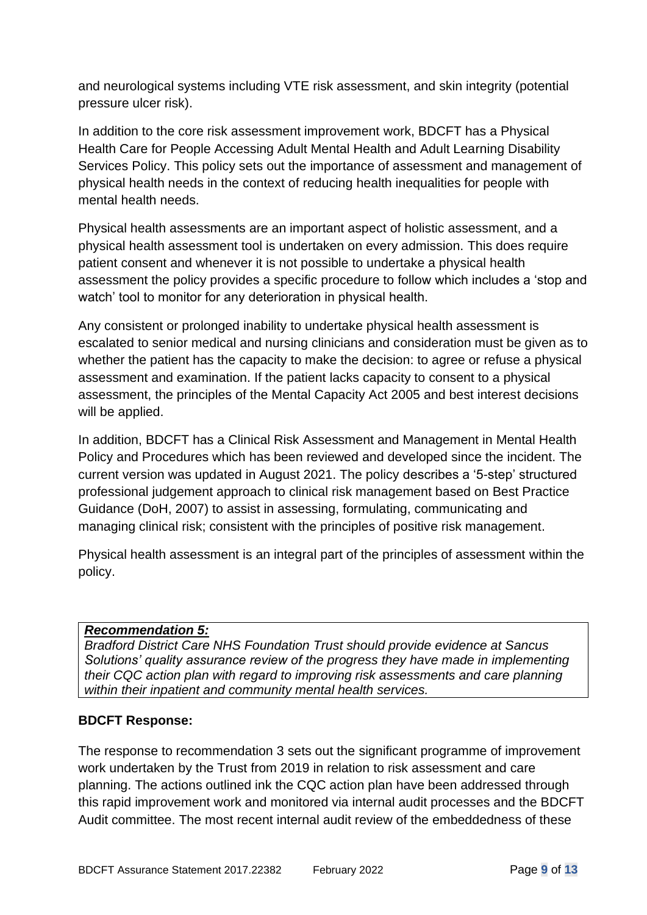and neurological systems including VTE risk assessment, and skin integrity (potential pressure ulcer risk).

In addition to the core risk assessment improvement work, BDCFT has a Physical Health Care for People Accessing Adult Mental Health and Adult Learning Disability Services Policy. This policy sets out the importance of assessment and management of physical health needs in the context of reducing health inequalities for people with mental health needs.

Physical health assessments are an important aspect of holistic assessment, and a physical health assessment tool is undertaken on every admission. This does require patient consent and whenever it is not possible to undertake a physical health assessment the policy provides a specific procedure to follow which includes a 'stop and watch' tool to monitor for any deterioration in physical health.

Any consistent or prolonged inability to undertake physical health assessment is escalated to senior medical and nursing clinicians and consideration must be given as to whether the patient has the capacity to make the decision: to agree or refuse a physical assessment and examination. If the patient lacks capacity to consent to a physical assessment, the principles of the Mental Capacity Act 2005 and best interest decisions will be applied.

In addition, BDCFT has a Clinical Risk Assessment and Management in Mental Health Policy and Procedures which has been reviewed and developed since the incident. The current version was updated in August 2021. The policy describes a '5-step' structured professional judgement approach to clinical risk management based on Best Practice Guidance (DoH, 2007) to assist in assessing, formulating, communicating and managing clinical risk; consistent with the principles of positive risk management.

Physical health assessment is an integral part of the principles of assessment within the policy.

# *Recommendation 5:*

*Bradford District Care NHS Foundation Trust should provide evidence at Sancus Solutions' quality assurance review of the progress they have made in implementing their CQC action plan with regard to improving risk assessments and care planning within their inpatient and community mental health services.*

#### **BDCFT Response:**

The response to recommendation 3 sets out the significant programme of improvement work undertaken by the Trust from 2019 in relation to risk assessment and care planning. The actions outlined ink the CQC action plan have been addressed through this rapid improvement work and monitored via internal audit processes and the BDCFT Audit committee. The most recent internal audit review of the embeddedness of these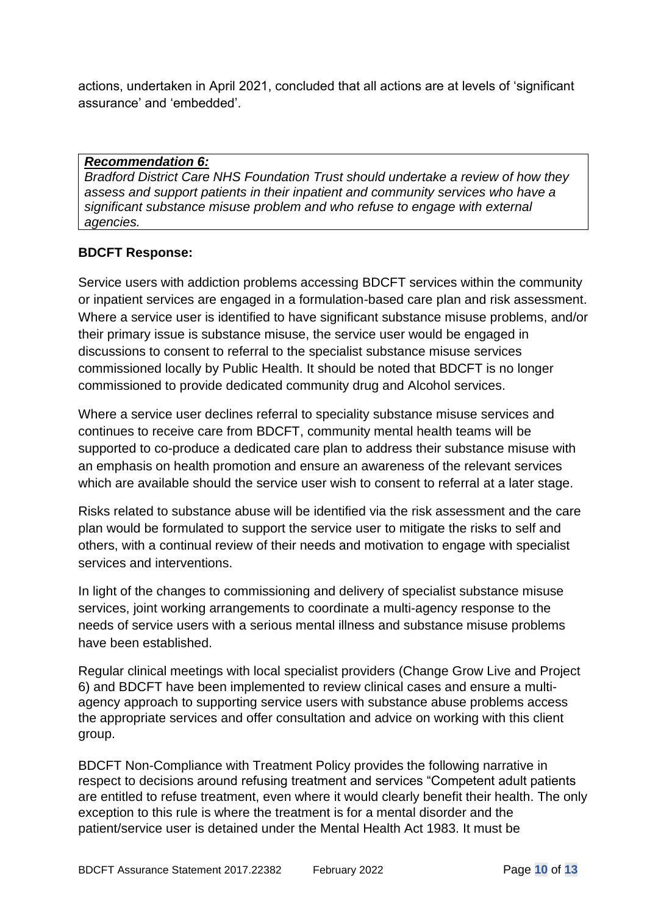actions, undertaken in April 2021, concluded that all actions are at levels of 'significant assurance' and 'embedded'.

#### *Recommendation 6:*

*Bradford District Care NHS Foundation Trust should undertake a review of how they assess and support patients in their inpatient and community services who have a significant substance misuse problem and who refuse to engage with external agencies.*

### **BDCFT Response:**

Service users with addiction problems accessing BDCFT services within the community or inpatient services are engaged in a formulation-based care plan and risk assessment. Where a service user is identified to have significant substance misuse problems, and/or their primary issue is substance misuse, the service user would be engaged in discussions to consent to referral to the specialist substance misuse services commissioned locally by Public Health. It should be noted that BDCFT is no longer commissioned to provide dedicated community drug and Alcohol services.

Where a service user declines referral to speciality substance misuse services and continues to receive care from BDCFT, community mental health teams will be supported to co-produce a dedicated care plan to address their substance misuse with an emphasis on health promotion and ensure an awareness of the relevant services which are available should the service user wish to consent to referral at a later stage.

Risks related to substance abuse will be identified via the risk assessment and the care plan would be formulated to support the service user to mitigate the risks to self and others, with a continual review of their needs and motivation to engage with specialist services and interventions.

In light of the changes to commissioning and delivery of specialist substance misuse services, joint working arrangements to coordinate a multi-agency response to the needs of service users with a serious mental illness and substance misuse problems have been established.

Regular clinical meetings with local specialist providers (Change Grow Live and Project 6) and BDCFT have been implemented to review clinical cases and ensure a multiagency approach to supporting service users with substance abuse problems access the appropriate services and offer consultation and advice on working with this client group.

BDCFT Non-Compliance with Treatment Policy provides the following narrative in respect to decisions around refusing treatment and services "Competent adult patients are entitled to refuse treatment, even where it would clearly benefit their health. The only exception to this rule is where the treatment is for a mental disorder and the patient/service user is detained under the Mental Health Act 1983. It must be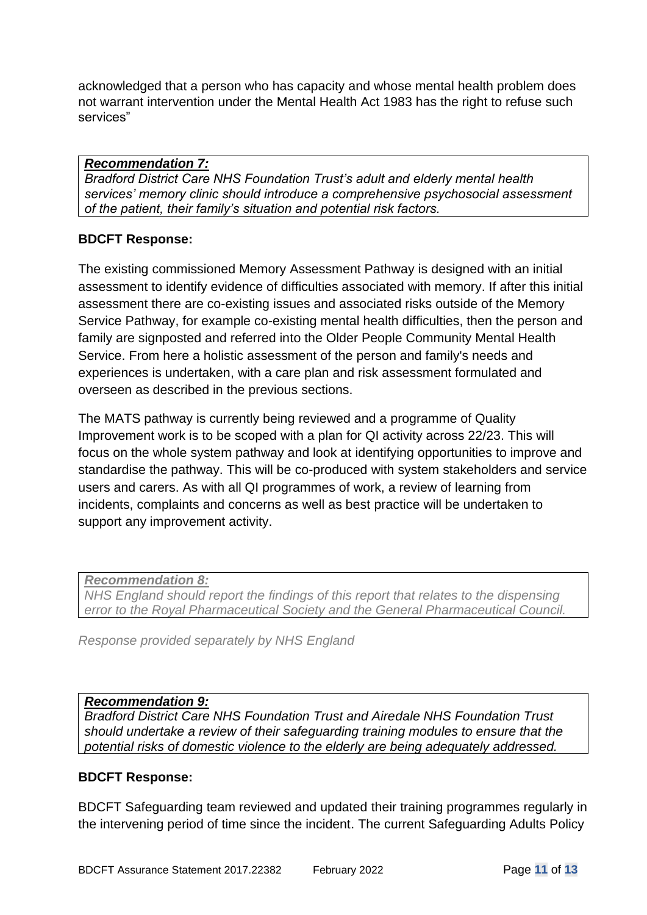acknowledged that a person who has capacity and whose mental health problem does not warrant intervention under the Mental Health Act 1983 has the right to refuse such services"

#### *Recommendation 7:*

*Bradford District Care NHS Foundation Trust's adult and elderly mental health services' memory clinic should introduce a comprehensive psychosocial assessment of the patient, their family's situation and potential risk factors.*

#### **BDCFT Response:**

The existing commissioned Memory Assessment Pathway is designed with an initial assessment to identify evidence of difficulties associated with memory. If after this initial assessment there are co-existing issues and associated risks outside of the Memory Service Pathway, for example co-existing mental health difficulties, then the person and family are signposted and referred into the Older People Community Mental Health Service. From here a holistic assessment of the person and family's needs and experiences is undertaken, with a care plan and risk assessment formulated and overseen as described in the previous sections.

The MATS pathway is currently being reviewed and a programme of Quality Improvement work is to be scoped with a plan for QI activity across 22/23. This will focus on the whole system pathway and look at identifying opportunities to improve and standardise the pathway. This will be co-produced with system stakeholders and service users and carers. As with all QI programmes of work, a review of learning from incidents, complaints and concerns as well as best practice will be undertaken to support any improvement activity.

*Recommendation 8:*

*NHS England should report the findings of this report that relates to the dispensing error to the Royal Pharmaceutical Society and the General Pharmaceutical Council.*

*Response provided separately by NHS England*

#### *Recommendation 9:*

*Bradford District Care NHS Foundation Trust and Airedale NHS Foundation Trust should undertake a review of their safeguarding training modules to ensure that the potential risks of domestic violence to the elderly are being adequately addressed.*

#### **BDCFT Response:**

BDCFT Safeguarding team reviewed and updated their training programmes regularly in the intervening period of time since the incident. The current Safeguarding Adults Policy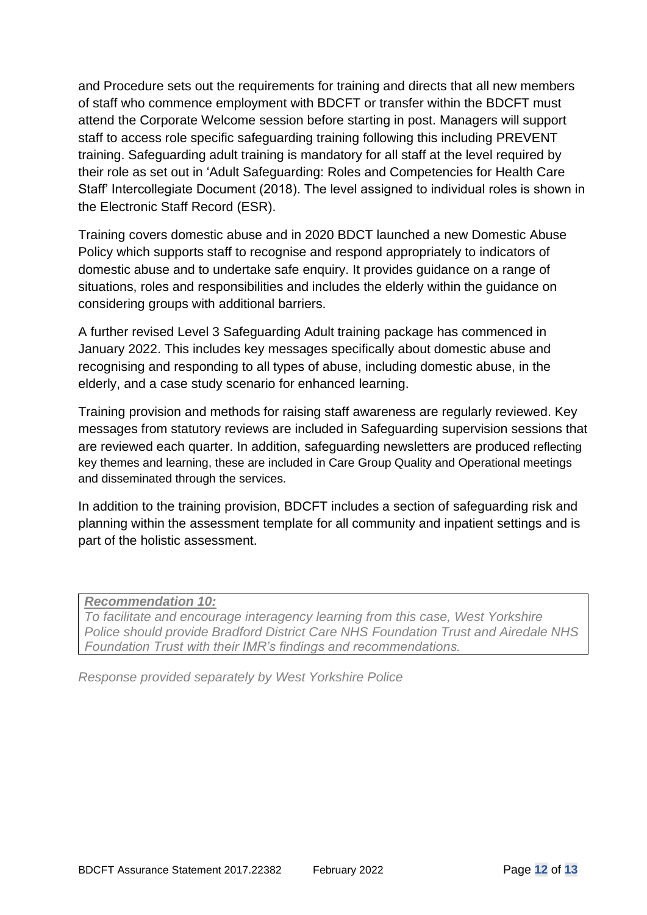and Procedure sets out the requirements for training and directs that all new members of staff who commence employment with BDCFT or transfer within the BDCFT must attend the Corporate Welcome session before starting in post. Managers will support staff to access role specific safeguarding training following this including PREVENT training. Safeguarding adult training is mandatory for all staff at the level required by their role as set out in 'Adult Safeguarding: Roles and Competencies for Health Care Staff' Intercollegiate Document (2018). The level assigned to individual roles is shown in the Electronic Staff Record (ESR).

Training covers domestic abuse and in 2020 BDCT launched a new Domestic Abuse Policy which supports staff to recognise and respond appropriately to indicators of domestic abuse and to undertake safe enquiry. It provides guidance on a range of situations, roles and responsibilities and includes the elderly within the guidance on considering groups with additional barriers.

A further revised Level 3 Safeguarding Adult training package has commenced in January 2022. This includes key messages specifically about domestic abuse and recognising and responding to all types of abuse, including domestic abuse, in the elderly, and a case study scenario for enhanced learning.

Training provision and methods for raising staff awareness are regularly reviewed. Key messages from statutory reviews are included in Safeguarding supervision sessions that are reviewed each quarter. In addition, safeguarding newsletters are produced reflecting key themes and learning, these are included in Care Group Quality and Operational meetings and disseminated through the services.

In addition to the training provision, BDCFT includes a section of safeguarding risk and planning within the assessment template for all community and inpatient settings and is part of the holistic assessment.

*Recommendation 10:*

*To facilitate and encourage interagency learning from this case, West Yorkshire Police should provide Bradford District Care NHS Foundation Trust and Airedale NHS Foundation Trust with their IMR's findings and recommendations.*

*Response provided separately by West Yorkshire Police*